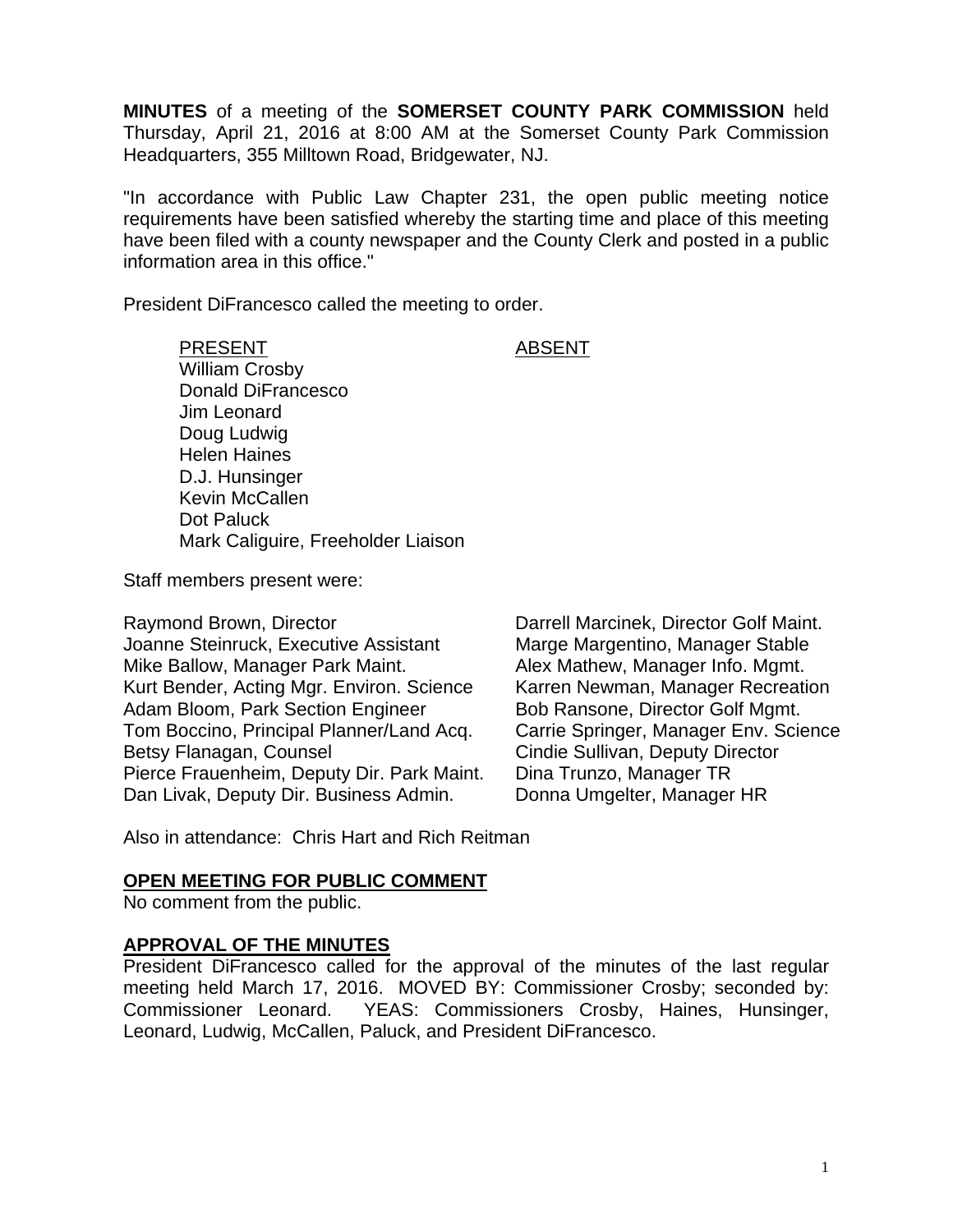**MINUTES** of a meeting of the **SOMERSET COUNTY PARK COMMISSION** held Thursday, April 21, 2016 at 8:00 AM at the Somerset County Park Commission Headquarters, 355 Milltown Road, Bridgewater, NJ.

"In accordance with Public Law Chapter 231, the open public meeting notice requirements have been satisfied whereby the starting time and place of this meeting have been filed with a county newspaper and the County Clerk and posted in a public information area in this office."

President DiFrancesco called the meeting to order.

PRESENT ABSENT William Crosby Donald DiFrancesco Jim Leonard Doug Ludwig Helen Haines D.J. Hunsinger Kevin McCallen Dot Paluck Mark Caliguire, Freeholder Liaison

Staff members present were:

Raymond Brown, Director **Darrell Marcinek, Director Golf Maint.** Joanne Steinruck, Executive Assistant Marge Margentino, Manager Stable Mike Ballow, Manager Park Maint. Alex Mathew, Manager Info. Mgmt. Kurt Bender, Acting Mgr. Environ. Science Karren Newman, Manager Recreation Adam Bloom, Park Section Engineer Bob Ransone, Director Golf Mgmt. Tom Boccino, Principal Planner/Land Acq. Carrie Springer, Manager Env. Science Betsy Flanagan, Counsel **Counsel Cindie Sullivan, Deputy Director** Pierce Frauenheim, Deputy Dir. Park Maint. Dina Trunzo, Manager TR Dan Livak, Deputy Dir. Business Admin. Donna Umgelter, Manager HR

Also in attendance: Chris Hart and Rich Reitman

## **OPEN MEETING FOR PUBLIC COMMENT**

No comment from the public.

#### **APPROVAL OF THE MINUTES**

President DiFrancesco called for the approval of the minutes of the last regular meeting held March 17, 2016. MOVED BY: Commissioner Crosby; seconded by: Commissioner Leonard. YEAS: Commissioners Crosby, Haines, Hunsinger, Leonard, Ludwig, McCallen, Paluck, and President DiFrancesco.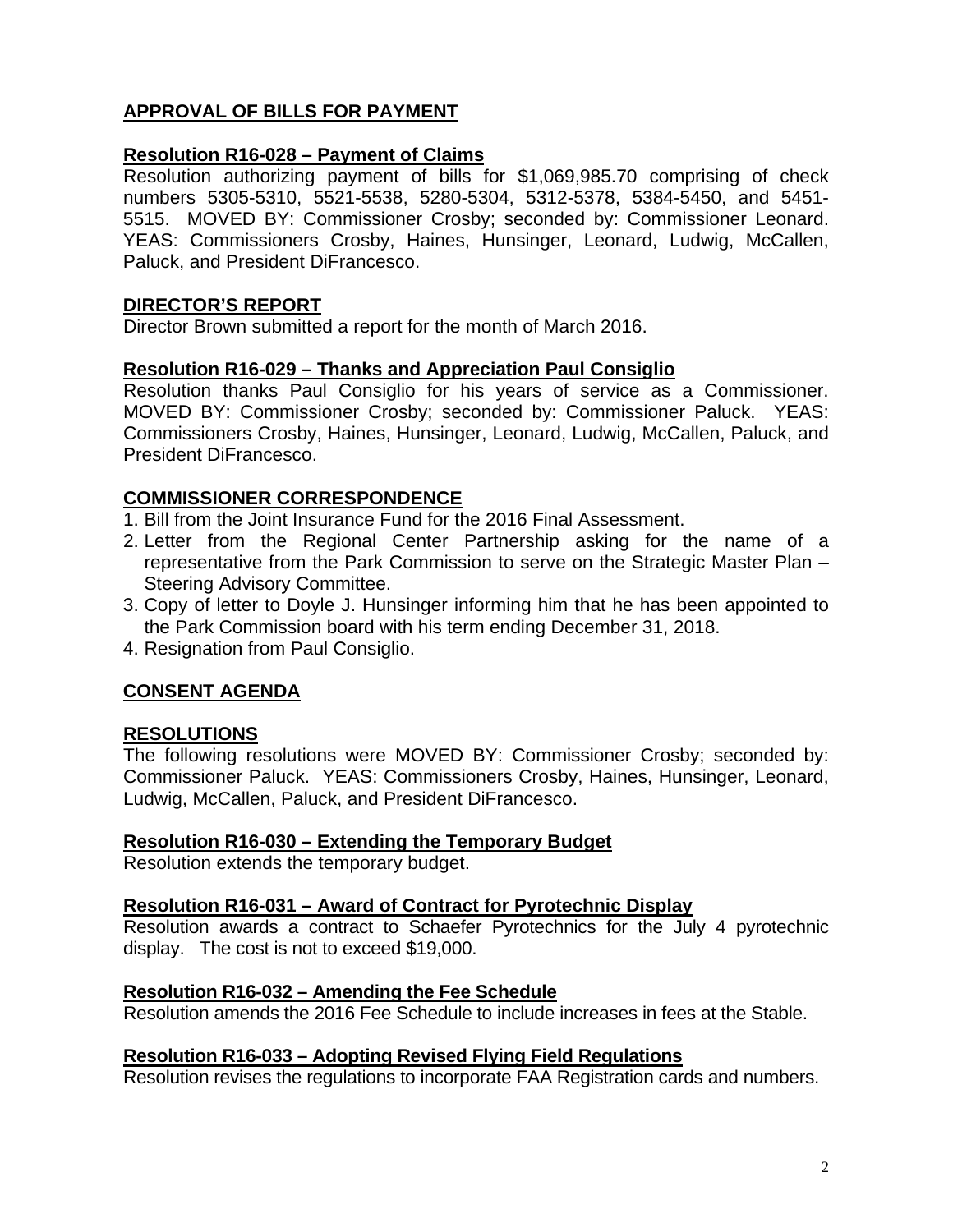# **APPROVAL OF BILLS FOR PAYMENT**

# **Resolution R16-028 – Payment of Claims**

Resolution authorizing payment of bills for \$1,069,985.70 comprising of check numbers 5305-5310, 5521-5538, 5280-5304, 5312-5378, 5384-5450, and 5451- 5515. MOVED BY: Commissioner Crosby; seconded by: Commissioner Leonard. YEAS: Commissioners Crosby, Haines, Hunsinger, Leonard, Ludwig, McCallen, Paluck, and President DiFrancesco.

## **DIRECTOR'S REPORT**

Director Brown submitted a report for the month of March 2016.

## **Resolution R16-029 – Thanks and Appreciation Paul Consiglio**

Resolution thanks Paul Consiglio for his years of service as a Commissioner. MOVED BY: Commissioner Crosby; seconded by: Commissioner Paluck. YEAS: Commissioners Crosby, Haines, Hunsinger, Leonard, Ludwig, McCallen, Paluck, and President DiFrancesco.

# **COMMISSIONER CORRESPONDENCE**

- 1. Bill from the Joint Insurance Fund for the 2016 Final Assessment.
- 2. Letter from the Regional Center Partnership asking for the name of a representative from the Park Commission to serve on the Strategic Master Plan – Steering Advisory Committee.
- 3. Copy of letter to Doyle J. Hunsinger informing him that he has been appointed to the Park Commission board with his term ending December 31, 2018.
- 4. Resignation from Paul Consiglio.

# **CONSENT AGENDA**

## **RESOLUTIONS**

The following resolutions were MOVED BY: Commissioner Crosby; seconded by: Commissioner Paluck. YEAS: Commissioners Crosby, Haines, Hunsinger, Leonard, Ludwig, McCallen, Paluck, and President DiFrancesco.

## **Resolution R16-030 – Extending the Temporary Budget**

Resolution extends the temporary budget.

## **Resolution R16-031 – Award of Contract for Pyrotechnic Display**

Resolution awards a contract to Schaefer Pyrotechnics for the July 4 pyrotechnic display. The cost is not to exceed \$19,000.

#### **Resolution R16-032 – Amending the Fee Schedule**

Resolution amends the 2016 Fee Schedule to include increases in fees at the Stable.

## **Resolution R16-033 – Adopting Revised Flying Field Regulations**

Resolution revises the regulations to incorporate FAA Registration cards and numbers.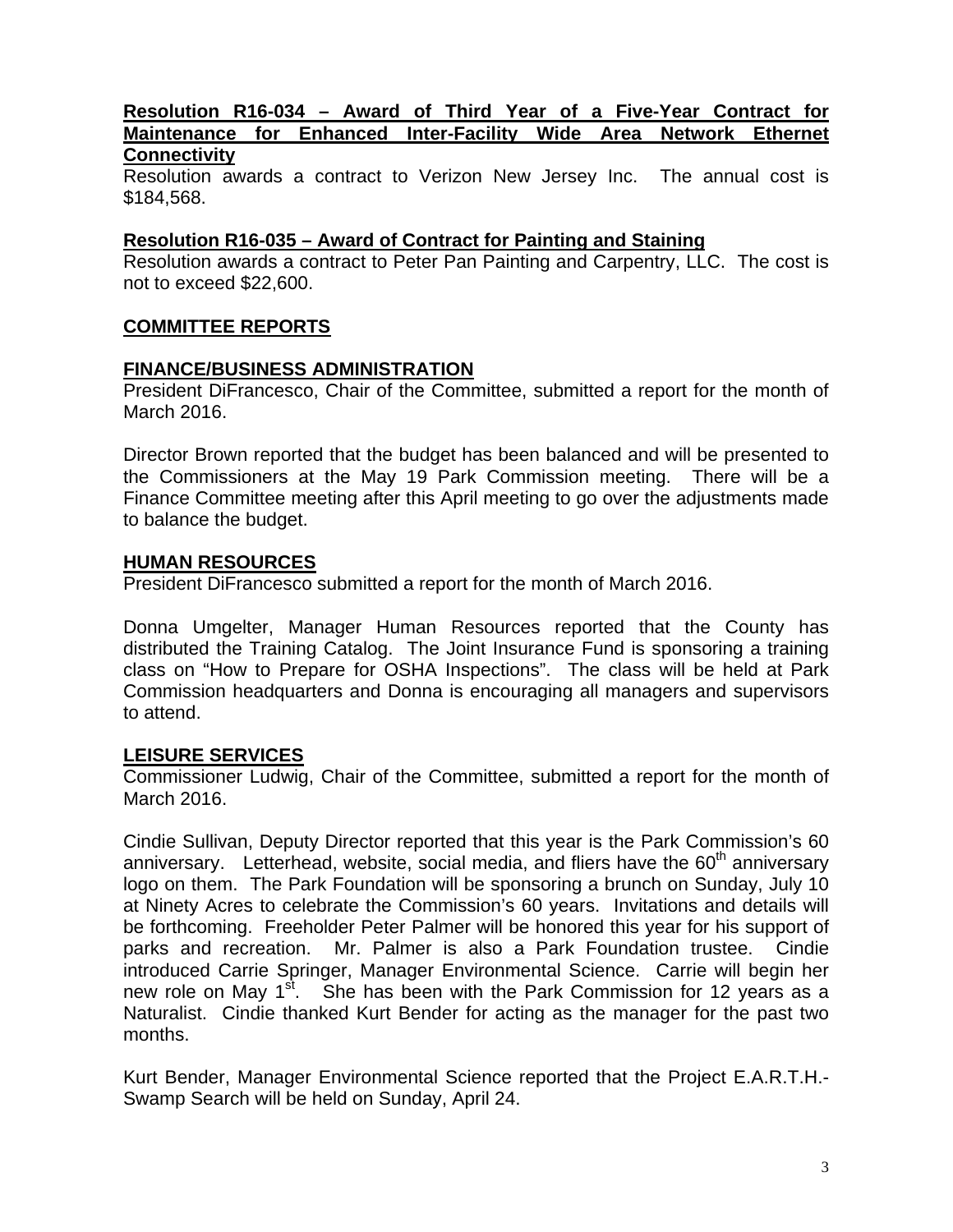#### **Resolution R16-034 – Award of Third Year of a Five-Year Contract for Maintenance for Enhanced Inter-Facility Wide Area Network Ethernet Connectivity**

Resolution awards a contract to Verizon New Jersey Inc. The annual cost is \$184,568.

## **Resolution R16-035 – Award of Contract for Painting and Staining**

Resolution awards a contract to Peter Pan Painting and Carpentry, LLC. The cost is not to exceed \$22,600.

## **COMMITTEE REPORTS**

#### **FINANCE/BUSINESS ADMINISTRATION**

President DiFrancesco, Chair of the Committee, submitted a report for the month of March 2016.

Director Brown reported that the budget has been balanced and will be presented to the Commissioners at the May 19 Park Commission meeting. There will be a Finance Committee meeting after this April meeting to go over the adjustments made to balance the budget.

### **HUMAN RESOURCES**

President DiFrancesco submitted a report for the month of March 2016.

Donna Umgelter, Manager Human Resources reported that the County has distributed the Training Catalog. The Joint Insurance Fund is sponsoring a training class on "How to Prepare for OSHA Inspections". The class will be held at Park Commission headquarters and Donna is encouraging all managers and supervisors to attend.

## **LEISURE SERVICES**

Commissioner Ludwig, Chair of the Committee, submitted a report for the month of March 2016.

Cindie Sullivan, Deputy Director reported that this year is the Park Commission's 60 anniversary. Letterhead, website, social media, and fliers have the  $60<sup>th</sup>$  anniversary logo on them. The Park Foundation will be sponsoring a brunch on Sunday, July 10 at Ninety Acres to celebrate the Commission's 60 years. Invitations and details will be forthcoming. Freeholder Peter Palmer will be honored this year for his support of parks and recreation. Mr. Palmer is also a Park Foundation trustee. Cindie introduced Carrie Springer, Manager Environmental Science. Carrie will begin her new role on May 1<sup>st</sup>. She has been with the Park Commission for 12 years as a Naturalist. Cindie thanked Kurt Bender for acting as the manager for the past two months.

Kurt Bender, Manager Environmental Science reported that the Project E.A.R.T.H.- Swamp Search will be held on Sunday, April 24.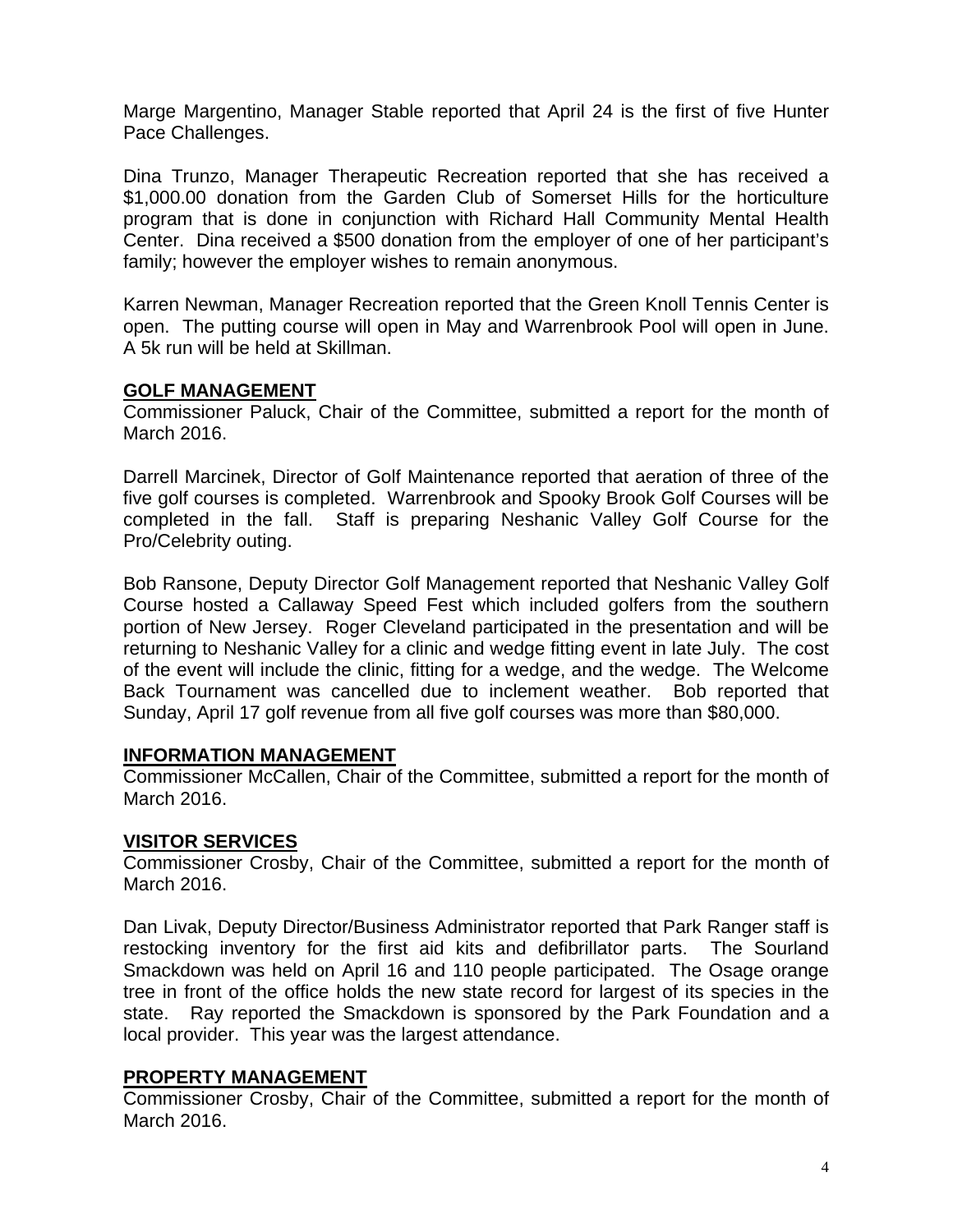Marge Margentino, Manager Stable reported that April 24 is the first of five Hunter Pace Challenges.

Dina Trunzo, Manager Therapeutic Recreation reported that she has received a \$1,000.00 donation from the Garden Club of Somerset Hills for the horticulture program that is done in conjunction with Richard Hall Community Mental Health Center. Dina received a \$500 donation from the employer of one of her participant's family; however the employer wishes to remain anonymous.

Karren Newman, Manager Recreation reported that the Green Knoll Tennis Center is open. The putting course will open in May and Warrenbrook Pool will open in June. A 5k run will be held at Skillman.

## **GOLF MANAGEMENT**

Commissioner Paluck, Chair of the Committee, submitted a report for the month of March 2016.

Darrell Marcinek, Director of Golf Maintenance reported that aeration of three of the five golf courses is completed. Warrenbrook and Spooky Brook Golf Courses will be completed in the fall. Staff is preparing Neshanic Valley Golf Course for the Pro/Celebrity outing.

Bob Ransone, Deputy Director Golf Management reported that Neshanic Valley Golf Course hosted a Callaway Speed Fest which included golfers from the southern portion of New Jersey. Roger Cleveland participated in the presentation and will be returning to Neshanic Valley for a clinic and wedge fitting event in late July. The cost of the event will include the clinic, fitting for a wedge, and the wedge. The Welcome Back Tournament was cancelled due to inclement weather. Bob reported that Sunday, April 17 golf revenue from all five golf courses was more than \$80,000.

## **INFORMATION MANAGEMENT**

Commissioner McCallen, Chair of the Committee, submitted a report for the month of March 2016.

## **VISITOR SERVICES**

Commissioner Crosby, Chair of the Committee, submitted a report for the month of March 2016.

Dan Livak, Deputy Director/Business Administrator reported that Park Ranger staff is restocking inventory for the first aid kits and defibrillator parts. The Sourland Smackdown was held on April 16 and 110 people participated. The Osage orange tree in front of the office holds the new state record for largest of its species in the state. Ray reported the Smackdown is sponsored by the Park Foundation and a local provider. This year was the largest attendance.

## **PROPERTY MANAGEMENT**

Commissioner Crosby, Chair of the Committee, submitted a report for the month of March 2016.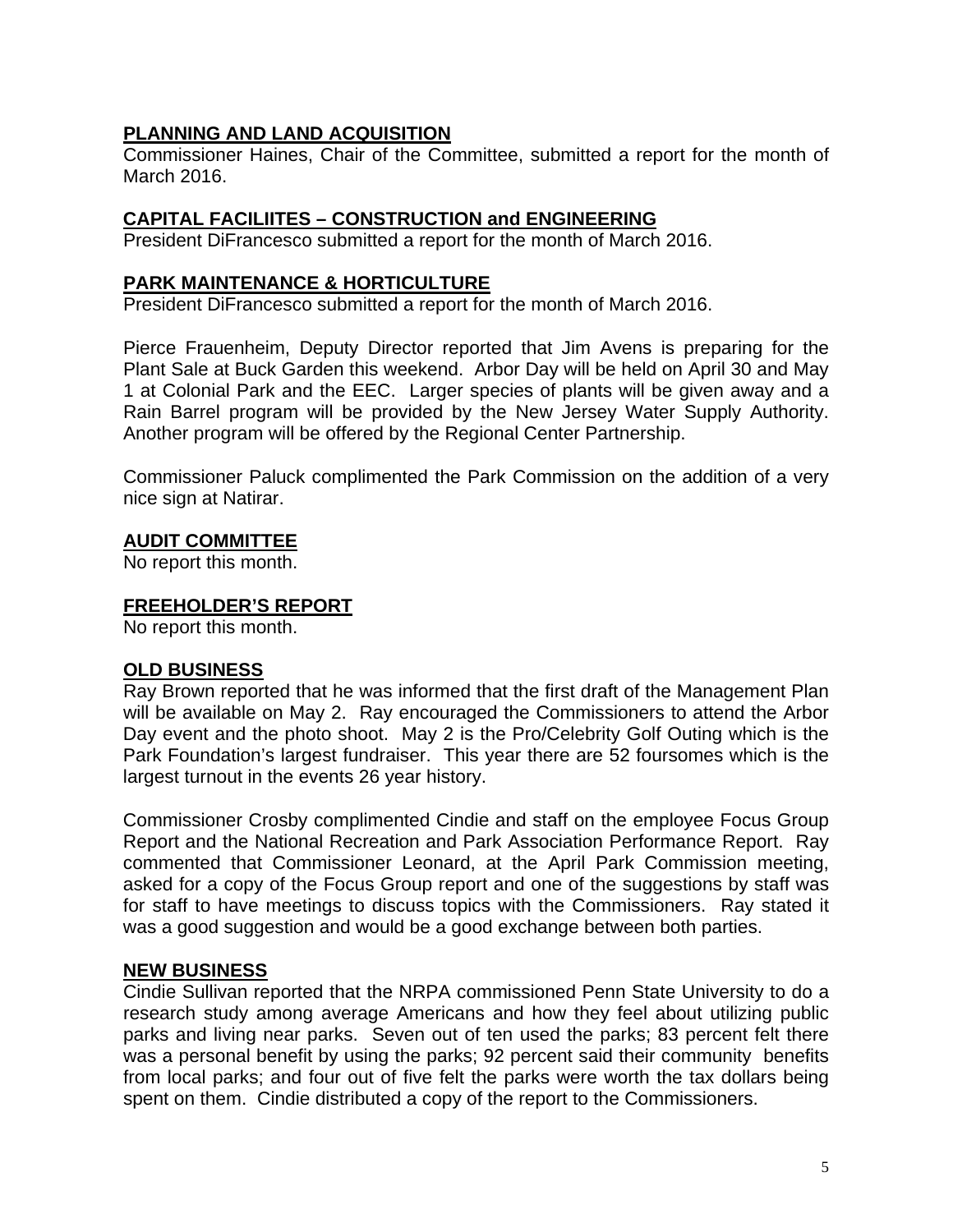# **PLANNING AND LAND ACQUISITION**

Commissioner Haines, Chair of the Committee, submitted a report for the month of March 2016.

## **CAPITAL FACILIITES – CONSTRUCTION and ENGINEERING**

President DiFrancesco submitted a report for the month of March 2016.

## **PARK MAINTENANCE & HORTICULTURE**

President DiFrancesco submitted a report for the month of March 2016.

Pierce Frauenheim, Deputy Director reported that Jim Avens is preparing for the Plant Sale at Buck Garden this weekend. Arbor Day will be held on April 30 and May 1 at Colonial Park and the EEC. Larger species of plants will be given away and a Rain Barrel program will be provided by the New Jersey Water Supply Authority. Another program will be offered by the Regional Center Partnership.

Commissioner Paluck complimented the Park Commission on the addition of a very nice sign at Natirar.

# **AUDIT COMMITTEE**

No report this month.

# **FREEHOLDER'S REPORT**

No report this month.

## **OLD BUSINESS**

Ray Brown reported that he was informed that the first draft of the Management Plan will be available on May 2. Ray encouraged the Commissioners to attend the Arbor Day event and the photo shoot. May 2 is the Pro/Celebrity Golf Outing which is the Park Foundation's largest fundraiser. This year there are 52 foursomes which is the largest turnout in the events 26 year history.

Commissioner Crosby complimented Cindie and staff on the employee Focus Group Report and the National Recreation and Park Association Performance Report. Ray commented that Commissioner Leonard, at the April Park Commission meeting, asked for a copy of the Focus Group report and one of the suggestions by staff was for staff to have meetings to discuss topics with the Commissioners. Ray stated it was a good suggestion and would be a good exchange between both parties.

# **NEW BUSINESS**

Cindie Sullivan reported that the NRPA commissioned Penn State University to do a research study among average Americans and how they feel about utilizing public parks and living near parks. Seven out of ten used the parks; 83 percent felt there was a personal benefit by using the parks; 92 percent said their community benefits from local parks; and four out of five felt the parks were worth the tax dollars being spent on them. Cindie distributed a copy of the report to the Commissioners.